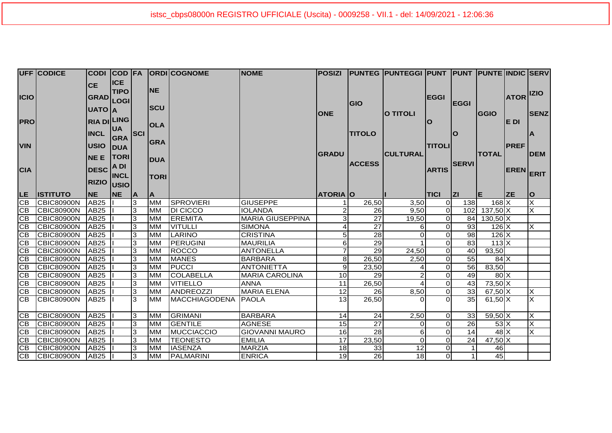|                 | <b>UFF CODICE</b> |                    |             |                |             | CODI COD FA ORDICOGNOME | <b>NOME</b>             | <b>POSIZI</b>   |                    | <b>PUNTEG PUNTEGGI PUNT PUNT PUNTE INDIC SERV</b> |                |                  |              |                  |                         |
|-----------------|-------------------|--------------------|-------------|----------------|-------------|-------------------------|-------------------------|-----------------|--------------------|---------------------------------------------------|----------------|------------------|--------------|------------------|-------------------------|
|                 |                   | <b>CE</b>          | <b>ICE</b>  |                |             |                         |                         |                 |                    |                                                   |                |                  |              |                  |                         |
| <b>ICIO</b>     |                   |                    | <b>TIPO</b> |                | INE.        |                         |                         |                 |                    |                                                   | <b>EGGI</b>    |                  |              | <b>ATOR IZIO</b> |                         |
|                 |                   | GRAD LOGI          |             |                |             |                         |                         |                 | GIO                |                                                   |                | <b>EGGI</b>      |              |                  |                         |
|                 |                   | UATO A             |             |                | <b>SCU</b>  |                         |                         | <b>ONE</b>      |                    | <b>O TITOLI</b>                                   |                |                  | GGIO         |                  | <b>SENZ</b>             |
| <b>PRO</b>      |                   | <b>RIA DI LING</b> |             |                |             |                         |                         |                 |                    |                                                   | ΙO             |                  |              | E DI             |                         |
|                 |                   |                    | <b>UA</b>   |                | <b>OLA</b>  |                         |                         |                 |                    |                                                   |                |                  |              |                  |                         |
|                 |                   | <b>INCL</b>        | <b>GRA</b>  | <b>SCI</b>     |             |                         |                         |                 | <b>TITOLO</b>      |                                                   |                | <b>O</b>         |              |                  | <b>A</b>                |
| <b>VIN</b>      |                   | <b>USIO</b>        | <b>DUA</b>  |                | <b>GRA</b>  |                         |                         |                 |                    |                                                   | <b>TITOLI</b>  |                  |              | <b>PREF</b>      |                         |
|                 |                   | <b>NEE</b>         | <b>TORI</b> |                |             |                         |                         | <b>GRADU</b>    |                    | <b>CULTURAL</b>                                   |                |                  | <b>TOTAL</b> |                  | <b>DEM</b>              |
|                 |                   |                    | A DI        |                | <b>DUA</b>  |                         |                         |                 | <b>ACCESS</b>      |                                                   |                | <b>SERVI</b>     |              |                  |                         |
| <b>CIA</b>      |                   | <b>DESC</b>        | <b>INCL</b> |                |             |                         |                         |                 |                    |                                                   | <b>ARTIS</b>   |                  |              | <b>EREN</b>      | <b>ERIT</b>             |
|                 |                   | <b>RIZIO USIO</b>  |             |                | <b>TORI</b> |                         |                         |                 |                    |                                                   |                |                  |              |                  |                         |
| LE.             | <b>ISTITUTO</b>   | <b>NE</b>          | NE          | ΙA             | ΙA.         |                         |                         | <b>ATORIA O</b> |                    |                                                   | <b>TICI</b>    | <u>Izi</u>       | lΕ           | <b>ZE</b>        | O                       |
| $\overline{CB}$ | <b>CBIC80900N</b> | AB25               |             | 3              | <b>IMM</b>  | <b>SPROVIERI</b>        | <b>GIUSEPPE</b>         |                 | 26,50              | 3,50                                              | $\overline{0}$ | 138              | $168$ X      |                  | $\overline{\mathsf{x}}$ |
| CB              | <b>CBIC80900N</b> | <b>AB25</b>        |             | 3              | <b>MM</b>   | <b>DI CICCO</b>         | <b>IOLANDA</b>          |                 | $\overline{26}$    | 9,50                                              | $\overline{0}$ | 102 <sub>l</sub> | $137,50$ X   |                  | $\overline{\mathsf{x}}$ |
| $\overline{CB}$ | <b>CBIC80900N</b> | AB25               |             | 3              | <b>MM</b>   | <b>EREMITA</b>          | <b>MARIA GIUSEPPINA</b> |                 | 27                 | 19,50                                             | $\overline{0}$ | 84               | $130,50$ X   |                  |                         |
| $\overline{CB}$ | <b>CBIC80900N</b> | AB25               |             | 3              | <b>MM</b>   | <b>VITULLI</b>          | <b>SIMONA</b>           |                 | 27                 | 6                                                 | $\overline{O}$ | 93               | $126$ X      |                  | X                       |
| CB              | <b>CBIC80900N</b> | <b>AB25</b>        |             | ما             | MM          | LARINO                  | <b>CRISTINA</b>         |                 | 28                 | $\overline{0}$                                    | $\overline{O}$ | 98               | $126 \times$ |                  |                         |
| GB              | <b>CBIC80900N</b> | AB25               |             | 3              | <b>MM</b>   | PERUGINI                | <b>MAURILIA</b>         | 6               | 29                 |                                                   | $\overline{O}$ | $\overline{83}$  | $113$ $X$    |                  |                         |
| CB              | <b>CBIC80900N</b> | AB25               |             | 3              | MM          | <b>ROCCO</b>            | <b>ANTONELLA</b>        |                 | 29                 | 24,50                                             | $\overline{O}$ | 40               | 93,50        |                  |                         |
| $\overline{CB}$ | CBIC80900N        | AB25               |             | 3              | IMM         | <b>MANES</b>            | <b>BARBARA</b>          | 8               | 26,50              | 2,50                                              | $\overline{0}$ | 55               | $84$ $X$     |                  |                         |
| CB              | <b>CBIC80900N</b> | AB25               |             | $\overline{3}$ | <b>MM</b>   | <b>PUCCI</b>            | <b>ANTONIETTA</b>       | 9               | 23,50              |                                                   | $\overline{O}$ | 56               | 83,50        |                  |                         |
| $\overline{CB}$ | <b>CBIC80900N</b> | AB25               |             | 3              | <b>IMM</b>  | <b>COLABELLA</b>        | <b>MARIA CAROLINA</b>   | 10              | 29                 | $\overline{c}$                                    | $\overline{O}$ | 49               | 80X          |                  |                         |
| $\overline{CB}$ | CBIC80900N        | AB <sub>25</sub>   |             | 3              | <b>MM</b>   | <b>VITIELLO</b>         | <b>ANNA</b>             | 11              | 26,50              | 4                                                 | $\overline{0}$ | 43               | $73,50$ X    |                  |                         |
| $\overline{CB}$ | <b>CBIC80900N</b> | AB25               |             | 3              | <b>I</b> MM | <b>ANDREOZZI</b>        | <b>MARIA ELENA</b>      | 12              | 26                 | 8,50                                              | $\overline{O}$ | 33               | $67,50$ X    |                  | $\overline{X}$          |
| <b>CB</b>       | <b>CBIC80900N</b> | AB25               |             | 3              | IMM         | MACCHIAGODENA           | <b>PAOLA</b>            | 13              | $\overline{26,50}$ | $\Omega$                                          | $\Omega$       | 35               | $61,50$ X    |                  | $\overline{\mathsf{x}}$ |
|                 |                   |                    |             |                |             |                         |                         |                 |                    |                                                   |                |                  |              |                  |                         |
| CB              | <b>CBIC80900N</b> | AB25               |             | 3              | <b>MM</b>   | <b>GRIMANI</b>          | <b>BARBARA</b>          | 14              | 24                 | 2,50                                              | $\overline{O}$ | 33               | $59,50$ X    |                  | $\overline{X}$          |
| CB              | <b>CBIC80900N</b> | AB25               |             | ဇာ             | Імм         | <b>GENTILE</b>          | <b>AGNESE</b>           | 15              | $\overline{27}$    | $\Omega$                                          | $\overline{O}$ | $\overline{26}$  | 53X          |                  | $\overline{\mathsf{x}}$ |
| GB              | CBIC80900N        | AB25               |             | 3              | <b>MM</b>   | <b>MUCCIACCIO</b>       | <b>GIOVANNI MAURO</b>   | 16              | $\overline{28}$    | $6 \mid$                                          | $\overline{0}$ | 14               | $48$ $X$     |                  | $\overline{\mathsf{x}}$ |
| CB              | CBIC80900N        | AB25               |             | 3              | <b>MM</b>   | <b>TEONESTO</b>         | <b>EMILIA</b>           | 17              | 23,50              | 0                                                 | $\overline{O}$ | 24               | 47,50 X      |                  |                         |
| GB              | CBIC80900N        | AB25               |             | 3              | <b>MM</b>   | <b>IASENZA</b>          | <b>MARZIA</b>           | 18              | 33                 | $\overline{12}$                                   | $\overline{O}$ |                  | 46           |                  |                         |
| $\overline{CB}$ | <b>CBIC80900N</b> | AB25               |             | 3              | <b>MM</b>   | <b>PALMARINI</b>        | <b>ENRICA</b>           | 19              | $\overline{26}$    | 18                                                | $\overline{O}$ |                  | 45           |                  |                         |